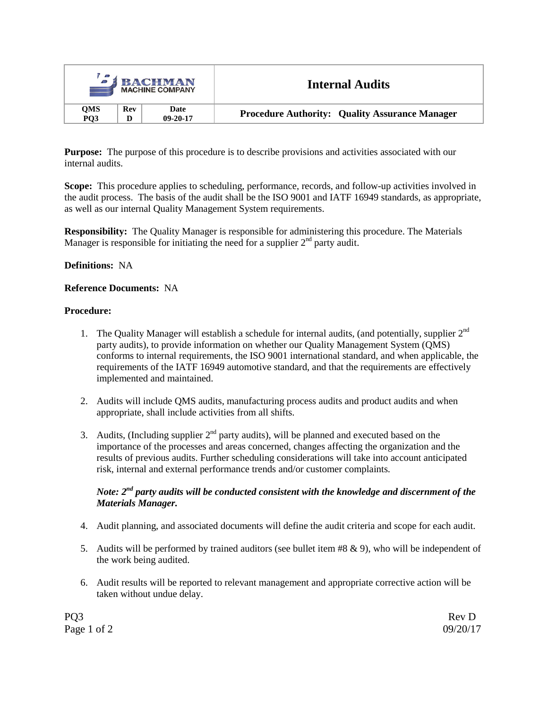|                   |            | <b>BACHMAN</b><br><b>MACHINE COMPANY</b> | <b>Internal Audits</b>                                |  |
|-------------------|------------|------------------------------------------|-------------------------------------------------------|--|
| OMS<br><b>PO3</b> | <b>Rev</b> | Date<br>$09 - 20 - 17$                   | <b>Procedure Authority: Quality Assurance Manager</b> |  |

**Purpose:** The purpose of this procedure is to describe provisions and activities associated with our internal audits.

**Scope:** This procedure applies to scheduling, performance, records, and follow-up activities involved in the audit process. The basis of the audit shall be the ISO 9001 and IATF 16949 standards, as appropriate, as well as our internal Quality Management System requirements.

**Responsibility:** The Quality Manager is responsible for administering this procedure. The Materials Manager is responsible for initiating the need for a supplier  $2<sup>nd</sup>$  party audit.

#### **Definitions:** NA

## **Reference Documents:** NA

#### **Procedure:**

- 1. The Quality Manager will establish a schedule for internal audits, (and potentially, supplier  $2^{nd}$ ) party audits), to provide information on whether our Quality Management System (QMS) conforms to internal requirements, the ISO 9001 international standard, and when applicable, the requirements of the IATF 16949 automotive standard, and that the requirements are effectively implemented and maintained.
- 2. Audits will include QMS audits, manufacturing process audits and product audits and when appropriate, shall include activities from all shifts.
- 3. Audits, (Including supplier  $2<sup>nd</sup>$  party audits), will be planned and executed based on the importance of the processes and areas concerned, changes affecting the organization and the results of previous audits. Further scheduling considerations will take into account anticipated risk, internal and external performance trends and/or customer complaints.

## *Note: 2nd party audits will be conducted consistent with the knowledge and discernment of the Materials Manager.*

- 4. Audit planning, and associated documents will define the audit criteria and scope for each audit.
- 5. Audits will be performed by trained auditors (see bullet item #8 & 9), who will be independent of the work being audited.
- 6. Audit results will be reported to relevant management and appropriate corrective action will be taken without undue delay.